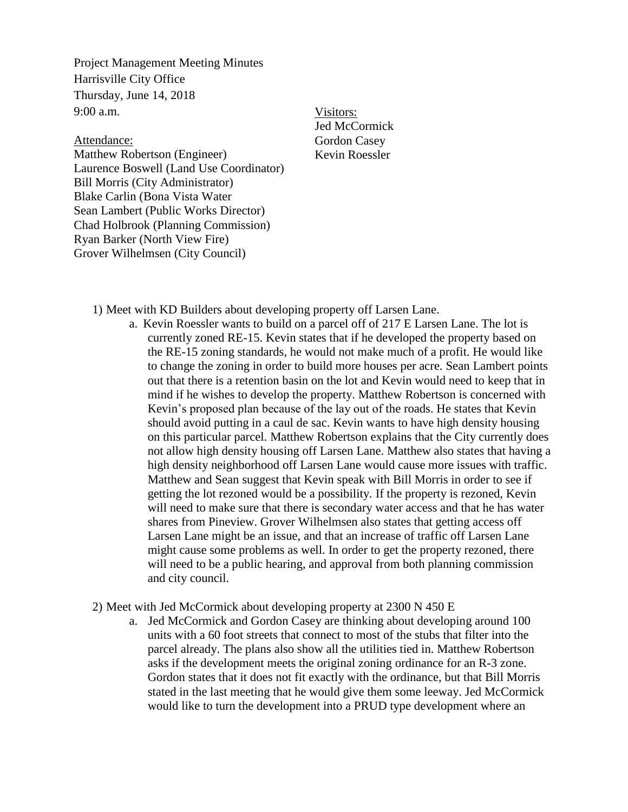Project Management Meeting Minutes Harrisville City Office Thursday, June 14, 2018 9:00 a.m.

Attendance:

Matthew Robertson (Engineer) Laurence Boswell (Land Use Coordinator) Bill Morris (City Administrator) Blake Carlin (Bona Vista Water Sean Lambert (Public Works Director) Chad Holbrook (Planning Commission) Ryan Barker (North View Fire) Grover Wilhelmsen (City Council)

Visitors: Jed McCormick Gordon Casey Kevin Roessler

1) Meet with KD Builders about developing property off Larsen Lane.

- a. Kevin Roessler wants to build on a parcel off of 217 E Larsen Lane. The lot is currently zoned RE-15. Kevin states that if he developed the property based on the RE-15 zoning standards, he would not make much of a profit. He would like to change the zoning in order to build more houses per acre. Sean Lambert points out that there is a retention basin on the lot and Kevin would need to keep that in mind if he wishes to develop the property. Matthew Robertson is concerned with Kevin's proposed plan because of the lay out of the roads. He states that Kevin should avoid putting in a caul de sac. Kevin wants to have high density housing on this particular parcel. Matthew Robertson explains that the City currently does not allow high density housing off Larsen Lane. Matthew also states that having a high density neighborhood off Larsen Lane would cause more issues with traffic. Matthew and Sean suggest that Kevin speak with Bill Morris in order to see if getting the lot rezoned would be a possibility. If the property is rezoned, Kevin will need to make sure that there is secondary water access and that he has water shares from Pineview. Grover Wilhelmsen also states that getting access off Larsen Lane might be an issue, and that an increase of traffic off Larsen Lane might cause some problems as well. In order to get the property rezoned, there will need to be a public hearing, and approval from both planning commission and city council.
- 2) Meet with Jed McCormick about developing property at 2300 N 450 E
	- a. Jed McCormick and Gordon Casey are thinking about developing around 100 units with a 60 foot streets that connect to most of the stubs that filter into the parcel already. The plans also show all the utilities tied in. Matthew Robertson asks if the development meets the original zoning ordinance for an R-3 zone. Gordon states that it does not fit exactly with the ordinance, but that Bill Morris stated in the last meeting that he would give them some leeway. Jed McCormick would like to turn the development into a PRUD type development where an